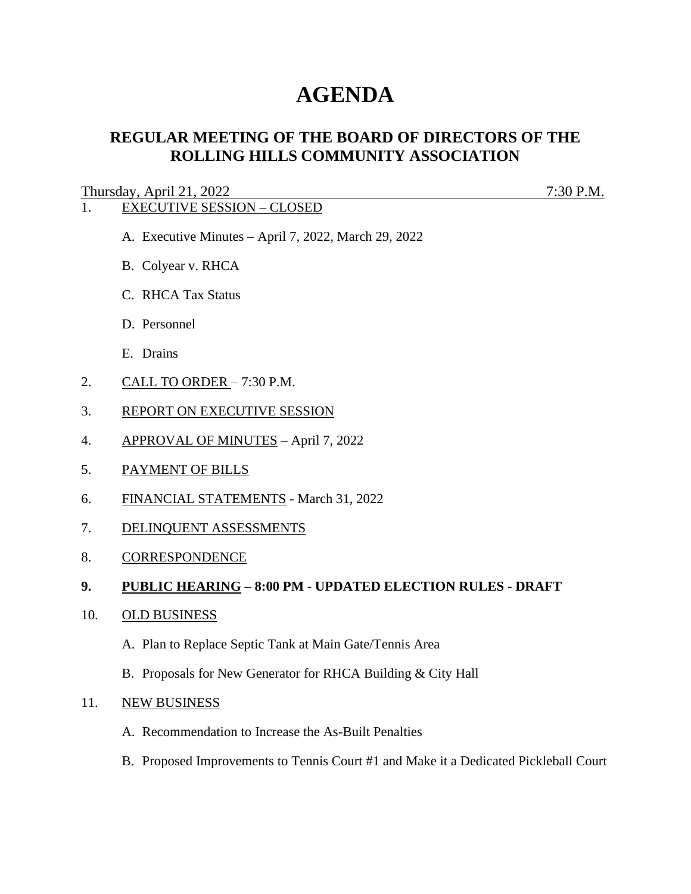# **AGENDA**

# **REGULAR MEETING OF THE BOARD OF DIRECTORS OF THE ROLLING HILLS COMMUNITY ASSOCIATION**

Thursday, April 21, 2022 7:30 P.M.

# 1. EXECUTIVE SESSION – CLOSED

- A. Executive Minutes April 7, 2022, March 29, 2022
- B. Colyear v. RHCA
- C. RHCA Tax Status
- D. Personnel
- E. Drains
- 2. CALL TO ORDER 7:30 P.M.
- 3. REPORT ON EXECUTIVE SESSION
- 4. APPROVAL OF MINUTES April 7, 2022
- 5. PAYMENT OF BILLS
- 6. FINANCIAL STATEMENTS March 31, 2022
- 7. DELINQUENT ASSESSMENTS
- 8. CORRESPONDENCE

## **9. PUBLIC HEARING – 8:00 PM - UPDATED ELECTION RULES - DRAFT**

- 10. OLD BUSINESS
	- A. Plan to Replace Septic Tank at Main Gate/Tennis Area
	- B. Proposals for New Generator for RHCA Building & City Hall

#### 11. NEW BUSINESS

- A. Recommendation to Increase the As-Built Penalties
- B. Proposed Improvements to Tennis Court #1 and Make it a Dedicated Pickleball Court